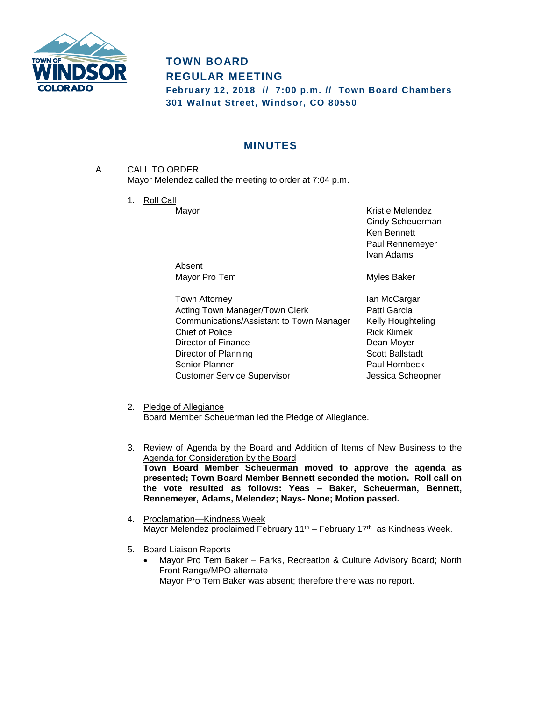

# **TOWN BOARD REGULAR MEETING**

**February 12, 2018 // 7:00 p.m. // Town Board Chambers 301 Walnut Street, Windsor, CO 80550**

# **MINUTES**

- A. CALL TO ORDER Mayor Melendez called the meeting to order at 7:04 p.m.
	- 1. Roll Call

Mayor **Mayor** Kristie Melendez Cindy Scheuerman Ken Bennett Paul Rennemeyer Ivan Adams

Absent Mayor Pro Tem **Myles** Baker

Town Attorney **Internal Contract Contract Acts** Ian McCargar Acting Town Manager/Town Clerk **Patti Garcia** Communications/Assistant to Town Manager Kelly Houghteling Chief of Police **Rick Klimek** Director of Finance Director of Finance Director of Planning Scott Ballstadt Senior Planner **Paul Hornbeck** Customer Service Supervisor **Customer Service Supervisor** Jessica Scheopner

- 2. Pledge of Allegiance Board Member Scheuerman led the Pledge of Allegiance.
- 3. Review of Agenda by the Board and Addition of Items of New Business to the Agenda for Consideration by the Board **Town Board Member Scheuerman moved to approve the agenda as presented; Town Board Member Bennett seconded the motion. Roll call on the vote resulted as follows: Yeas – Baker, Scheuerman, Bennett, Rennemeyer, Adams, Melendez; Nays- None; Motion passed.**
- 4. Proclamation—Kindness Week Mayor Melendez proclaimed February  $11<sup>th</sup>$  – February  $17<sup>th</sup>$  as Kindness Week.
- 5. Board Liaison Reports
	- Mayor Pro Tem Baker Parks, Recreation & Culture Advisory Board; North Front Range/MPO alternate Mayor Pro Tem Baker was absent; therefore there was no report.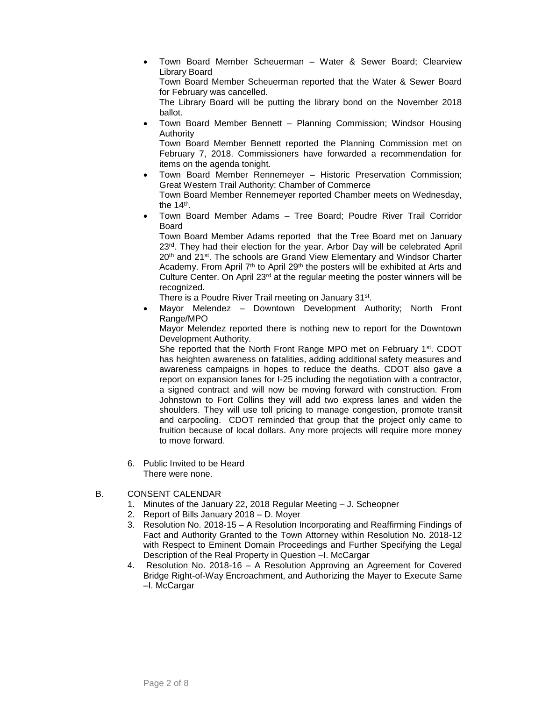Town Board Member Scheuerman – Water & Sewer Board; Clearview Library Board

Town Board Member Scheuerman reported that the Water & Sewer Board for February was cancelled.

The Library Board will be putting the library bond on the November 2018 ballot.

 Town Board Member Bennett – Planning Commission; Windsor Housing Authority

Town Board Member Bennett reported the Planning Commission met on February 7, 2018. Commissioners have forwarded a recommendation for items on the agenda tonight.

- Town Board Member Rennemeyer Historic Preservation Commission; Great Western Trail Authority; Chamber of Commerce Town Board Member Rennemeyer reported Chamber meets on Wednesday, the 14<sup>th</sup>.
- Town Board Member Adams Tree Board; Poudre River Trail Corridor Board

Town Board Member Adams reported that the Tree Board met on January 23rd. They had their election for the year. Arbor Day will be celebrated April 20<sup>th</sup> and 21<sup>st</sup>. The schools are Grand View Elementary and Windsor Charter Academy. From April 7<sup>th</sup> to April 29<sup>th</sup> the posters will be exhibited at Arts and Culture Center. On April 23<sup>rd</sup> at the regular meeting the poster winners will be recognized.

There is a Poudre River Trail meeting on January 31st.

 Mayor Melendez – Downtown Development Authority; North Front Range/MPO

Mayor Melendez reported there is nothing new to report for the Downtown Development Authority.

She reported that the North Front Range MPO met on February 1<sup>st</sup>. CDOT has heighten awareness on fatalities, adding additional safety measures and awareness campaigns in hopes to reduce the deaths. CDOT also gave a report on expansion lanes for I-25 including the negotiation with a contractor, a signed contract and will now be moving forward with construction. From Johnstown to Fort Collins they will add two express lanes and widen the shoulders. They will use toll pricing to manage congestion, promote transit and carpooling. CDOT reminded that group that the project only came to fruition because of local dollars. Any more projects will require more money to move forward.

- 6. Public Invited to be Heard There were none.
- B. CONSENT CALENDAR
	- 1. Minutes of the January 22, 2018 Regular Meeting J. Scheopner
	- 2. Report of Bills January 2018 D. Moyer
	- 3. Resolution No. 2018-15 A Resolution Incorporating and Reaffirming Findings of Fact and Authority Granted to the Town Attorney within Resolution No. 2018-12 with Respect to Eminent Domain Proceedings and Further Specifying the Legal Description of the Real Property in Question –I. McCargar
	- 4. Resolution No. 2018-16 A Resolution Approving an Agreement for Covered Bridge Right-of-Way Encroachment, and Authorizing the Mayer to Execute Same –I. McCargar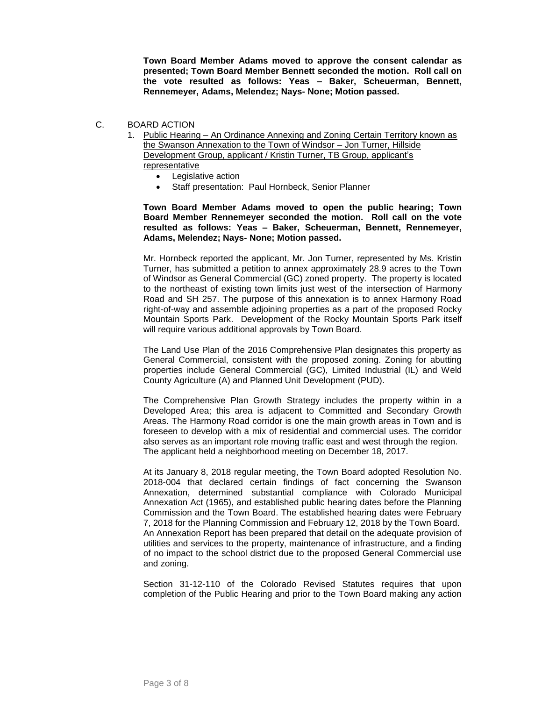**Town Board Member Adams moved to approve the consent calendar as presented; Town Board Member Bennett seconded the motion. Roll call on the vote resulted as follows: Yeas – Baker, Scheuerman, Bennett, Rennemeyer, Adams, Melendez; Nays- None; Motion passed.**

- C. BOARD ACTION
	- 1. Public Hearing An Ordinance Annexing and Zoning Certain Territory known as the Swanson Annexation to the Town of Windsor – Jon Turner, Hillside Development Group, applicant / Kristin Turner, TB Group, applicant's representative
		- Legislative action
		- Staff presentation: Paul Hornbeck, Senior Planner

**Town Board Member Adams moved to open the public hearing; Town Board Member Rennemeyer seconded the motion. Roll call on the vote resulted as follows: Yeas – Baker, Scheuerman, Bennett, Rennemeyer, Adams, Melendez; Nays- None; Motion passed.**

Mr. Hornbeck reported the applicant, Mr. Jon Turner, represented by Ms. Kristin Turner, has submitted a petition to annex approximately 28.9 acres to the Town of Windsor as General Commercial (GC) zoned property. The property is located to the northeast of existing town limits just west of the intersection of Harmony Road and SH 257. The purpose of this annexation is to annex Harmony Road right-of-way and assemble adjoining properties as a part of the proposed Rocky Mountain Sports Park. Development of the Rocky Mountain Sports Park itself will require various additional approvals by Town Board.

The Land Use Plan of the 2016 Comprehensive Plan designates this property as General Commercial, consistent with the proposed zoning. Zoning for abutting properties include General Commercial (GC), Limited Industrial (IL) and Weld County Agriculture (A) and Planned Unit Development (PUD).

The Comprehensive Plan Growth Strategy includes the property within in a Developed Area; this area is adjacent to Committed and Secondary Growth Areas. The Harmony Road corridor is one the main growth areas in Town and is foreseen to develop with a mix of residential and commercial uses. The corridor also serves as an important role moving traffic east and west through the region. The applicant held a neighborhood meeting on December 18, 2017.

At its January 8, 2018 regular meeting, the Town Board adopted Resolution No. 2018-004 that declared certain findings of fact concerning the Swanson Annexation, determined substantial compliance with Colorado Municipal Annexation Act (1965), and established public hearing dates before the Planning Commission and the Town Board. The established hearing dates were February 7, 2018 for the Planning Commission and February 12, 2018 by the Town Board. An Annexation Report has been prepared that detail on the adequate provision of utilities and services to the property, maintenance of infrastructure, and a finding of no impact to the school district due to the proposed General Commercial use and zoning.

Section 31-12-110 of the Colorado Revised Statutes requires that upon completion of the Public Hearing and prior to the Town Board making any action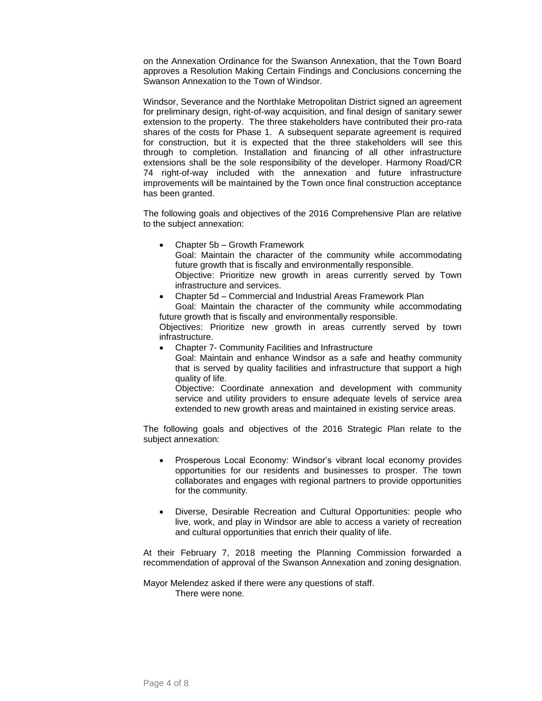on the Annexation Ordinance for the Swanson Annexation, that the Town Board approves a Resolution Making Certain Findings and Conclusions concerning the Swanson Annexation to the Town of Windsor.

Windsor, Severance and the Northlake Metropolitan District signed an agreement for preliminary design, right-of-way acquisition, and final design of sanitary sewer extension to the property. The three stakeholders have contributed their pro-rata shares of the costs for Phase 1. A subsequent separate agreement is required for construction, but it is expected that the three stakeholders will see this through to completion. Installation and financing of all other infrastructure extensions shall be the sole responsibility of the developer. Harmony Road/CR 74 right-of-way included with the annexation and future infrastructure improvements will be maintained by the Town once final construction acceptance has been granted.

The following goals and objectives of the 2016 Comprehensive Plan are relative to the subject annexation:

- Chapter 5b Growth Framework Goal: Maintain the character of the community while accommodating future growth that is fiscally and environmentally responsible. Objective: Prioritize new growth in areas currently served by Town infrastructure and services.
- Chapter 5d Commercial and Industrial Areas Framework Plan Goal: Maintain the character of the community while accommodating

future growth that is fiscally and environmentally responsible. Objectives: Prioritize new growth in areas currently served by town infrastructure.

- Chapter 7- Community Facilities and Infrastructure
	- Goal: Maintain and enhance Windsor as a safe and heathy community that is served by quality facilities and infrastructure that support a high quality of life.

Objective: Coordinate annexation and development with community service and utility providers to ensure adequate levels of service area extended to new growth areas and maintained in existing service areas.

The following goals and objectives of the 2016 Strategic Plan relate to the subject annexation:

- Prosperous Local Economy: Windsor's vibrant local economy provides opportunities for our residents and businesses to prosper. The town collaborates and engages with regional partners to provide opportunities for the community.
- Diverse, Desirable Recreation and Cultural Opportunities: people who live, work, and play in Windsor are able to access a variety of recreation and cultural opportunities that enrich their quality of life.

At their February 7, 2018 meeting the Planning Commission forwarded a recommendation of approval of the Swanson Annexation and zoning designation.

Mayor Melendez asked if there were any questions of staff. There were none.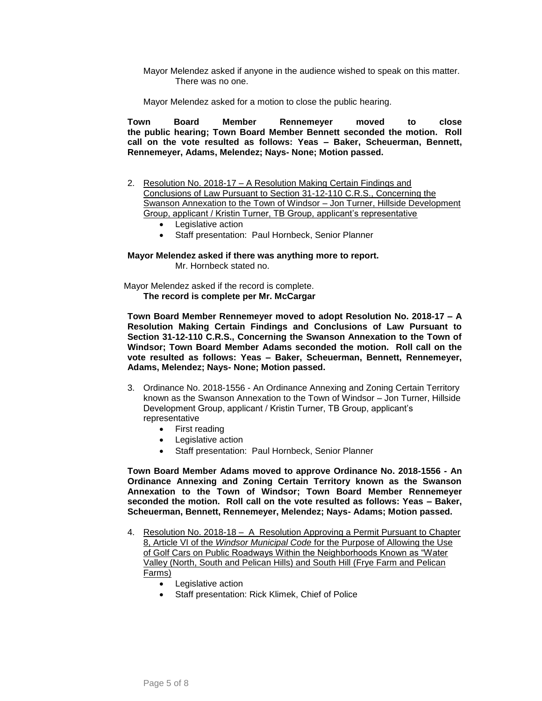Mayor Melendez asked if anyone in the audience wished to speak on this matter. There was no one.

Mayor Melendez asked for a motion to close the public hearing.

**Town Board Member Rennemeyer moved to close the public hearing; Town Board Member Bennett seconded the motion. Roll call on the vote resulted as follows: Yeas – Baker, Scheuerman, Bennett, Rennemeyer, Adams, Melendez; Nays- None; Motion passed.**

- 2. Resolution No. 2018-17 A Resolution Making Certain Findings and Conclusions of Law Pursuant to Section 31-12-110 C.R.S., Concerning the Swanson Annexation to the Town of Windsor – Jon Turner, Hillside Development Group, applicant / Kristin Turner, TB Group, applicant's representative
	- Legislative action
	- Staff presentation: Paul Hornbeck, Senior Planner

**Mayor Melendez asked if there was anything more to report.** Mr. Hornbeck stated no.

 Mayor Melendez asked if the record is complete. **The record is complete per Mr. McCargar**

**Town Board Member Rennemeyer moved to adopt Resolution No. 2018-17 – A Resolution Making Certain Findings and Conclusions of Law Pursuant to Section 31-12-110 C.R.S., Concerning the Swanson Annexation to the Town of Windsor; Town Board Member Adams seconded the motion. Roll call on the vote resulted as follows: Yeas – Baker, Scheuerman, Bennett, Rennemeyer, Adams, Melendez; Nays- None; Motion passed.**

- 3. Ordinance No. 2018-1556 An Ordinance Annexing and Zoning Certain Territory known as the Swanson Annexation to the Town of Windsor – Jon Turner, Hillside Development Group, applicant / Kristin Turner, TB Group, applicant's representative
	- First reading
	- Legislative action
	- Staff presentation: Paul Hornbeck, Senior Planner

**Town Board Member Adams moved to approve Ordinance No. 2018-1556 - An Ordinance Annexing and Zoning Certain Territory known as the Swanson Annexation to the Town of Windsor; Town Board Member Rennemeyer seconded the motion. Roll call on the vote resulted as follows: Yeas – Baker, Scheuerman, Bennett, Rennemeyer, Melendez; Nays- Adams; Motion passed.**

- 4. Resolution No. 2018-18 A Resolution Approving a Permit Pursuant to Chapter 8, Article VI of the *Windsor Municipal Code* for the Purpose of Allowing the Use of Golf Cars on Public Roadways Within the Neighborhoods Known as "Water Valley (North, South and Pelican Hills) and South Hill (Frye Farm and Pelican Farms)
	- Legislative action
	- Staff presentation: Rick Klimek, Chief of Police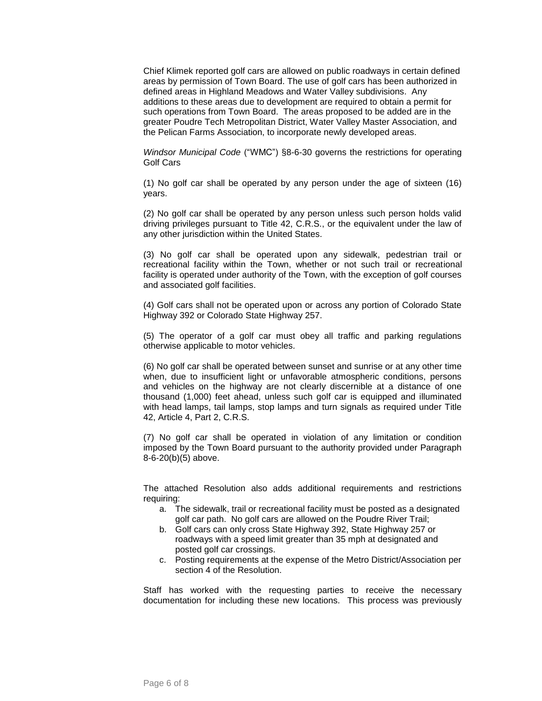Chief Klimek reported golf cars are allowed on public roadways in certain defined areas by permission of Town Board. The use of golf cars has been authorized in defined areas in Highland Meadows and Water Valley subdivisions. Any additions to these areas due to development are required to obtain a permit for such operations from Town Board. The areas proposed to be added are in the greater Poudre Tech Metropolitan District, Water Valley Master Association, and the Pelican Farms Association, to incorporate newly developed areas.

*Windsor Municipal Code* ("WMC") §8-6-30 governs the restrictions for operating Golf Cars

(1) No golf car shall be operated by any person under the age of sixteen (16) years.

(2) No golf car shall be operated by any person unless such person holds valid driving privileges pursuant to Title 42, C.R.S., or the equivalent under the law of any other jurisdiction within the United States.

(3) No golf car shall be operated upon any sidewalk, pedestrian trail or recreational facility within the Town, whether or not such trail or recreational facility is operated under authority of the Town, with the exception of golf courses and associated golf facilities.

(4) Golf cars shall not be operated upon or across any portion of Colorado State Highway 392 or Colorado State Highway 257.

(5) The operator of a golf car must obey all traffic and parking regulations otherwise applicable to motor vehicles.

(6) No golf car shall be operated between sunset and sunrise or at any other time when, due to insufficient light or unfavorable atmospheric conditions, persons and vehicles on the highway are not clearly discernible at a distance of one thousand (1,000) feet ahead, unless such golf car is equipped and illuminated with head lamps, tail lamps, stop lamps and turn signals as required under Title 42, Article 4, Part 2, C.R.S.

(7) No golf car shall be operated in violation of any limitation or condition imposed by the Town Board pursuant to the authority provided under Paragraph 8-6-20(b)(5) above.

The attached Resolution also adds additional requirements and restrictions requiring:

- a. The sidewalk, trail or recreational facility must be posted as a designated golf car path. No golf cars are allowed on the Poudre River Trail;
- b. Golf cars can only cross State Highway 392, State Highway 257 or roadways with a speed limit greater than 35 mph at designated and posted golf car crossings.
- c. Posting requirements at the expense of the Metro District/Association per section 4 of the Resolution.

Staff has worked with the requesting parties to receive the necessary documentation for including these new locations. This process was previously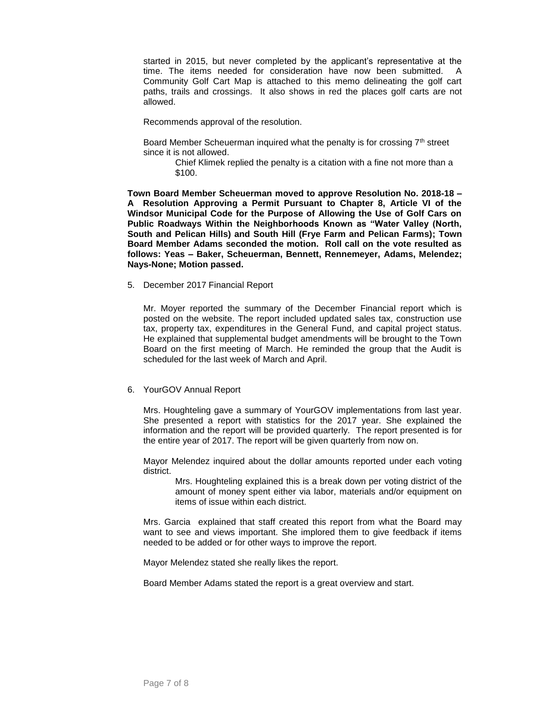started in 2015, but never completed by the applicant's representative at the time. The items needed for consideration have now been submitted. A Community Golf Cart Map is attached to this memo delineating the golf cart paths, trails and crossings. It also shows in red the places golf carts are not allowed.

Recommends approval of the resolution.

Board Member Scheuerman inquired what the penalty is for crossing 7<sup>th</sup> street since it is not allowed.

> Chief Klimek replied the penalty is a citation with a fine not more than a \$100.

**Town Board Member Scheuerman moved to approve Resolution No. 2018-18 – A Resolution Approving a Permit Pursuant to Chapter 8, Article VI of the Windsor Municipal Code for the Purpose of Allowing the Use of Golf Cars on Public Roadways Within the Neighborhoods Known as "Water Valley (North, South and Pelican Hills) and South Hill (Frye Farm and Pelican Farms); Town Board Member Adams seconded the motion. Roll call on the vote resulted as follows: Yeas – Baker, Scheuerman, Bennett, Rennemeyer, Adams, Melendez; Nays-None; Motion passed.**

5. December 2017 Financial Report

Mr. Moyer reported the summary of the December Financial report which is posted on the website. The report included updated sales tax, construction use tax, property tax, expenditures in the General Fund, and capital project status. He explained that supplemental budget amendments will be brought to the Town Board on the first meeting of March. He reminded the group that the Audit is scheduled for the last week of March and April.

#### 6. YourGOV Annual Report

Mrs. Houghteling gave a summary of YourGOV implementations from last year. She presented a report with statistics for the 2017 year. She explained the information and the report will be provided quarterly. The report presented is for the entire year of 2017. The report will be given quarterly from now on.

Mayor Melendez inquired about the dollar amounts reported under each voting district.

> Mrs. Houghteling explained this is a break down per voting district of the amount of money spent either via labor, materials and/or equipment on items of issue within each district.

Mrs. Garcia explained that staff created this report from what the Board may want to see and views important. She implored them to give feedback if items needed to be added or for other ways to improve the report.

Mayor Melendez stated she really likes the report.

Board Member Adams stated the report is a great overview and start.